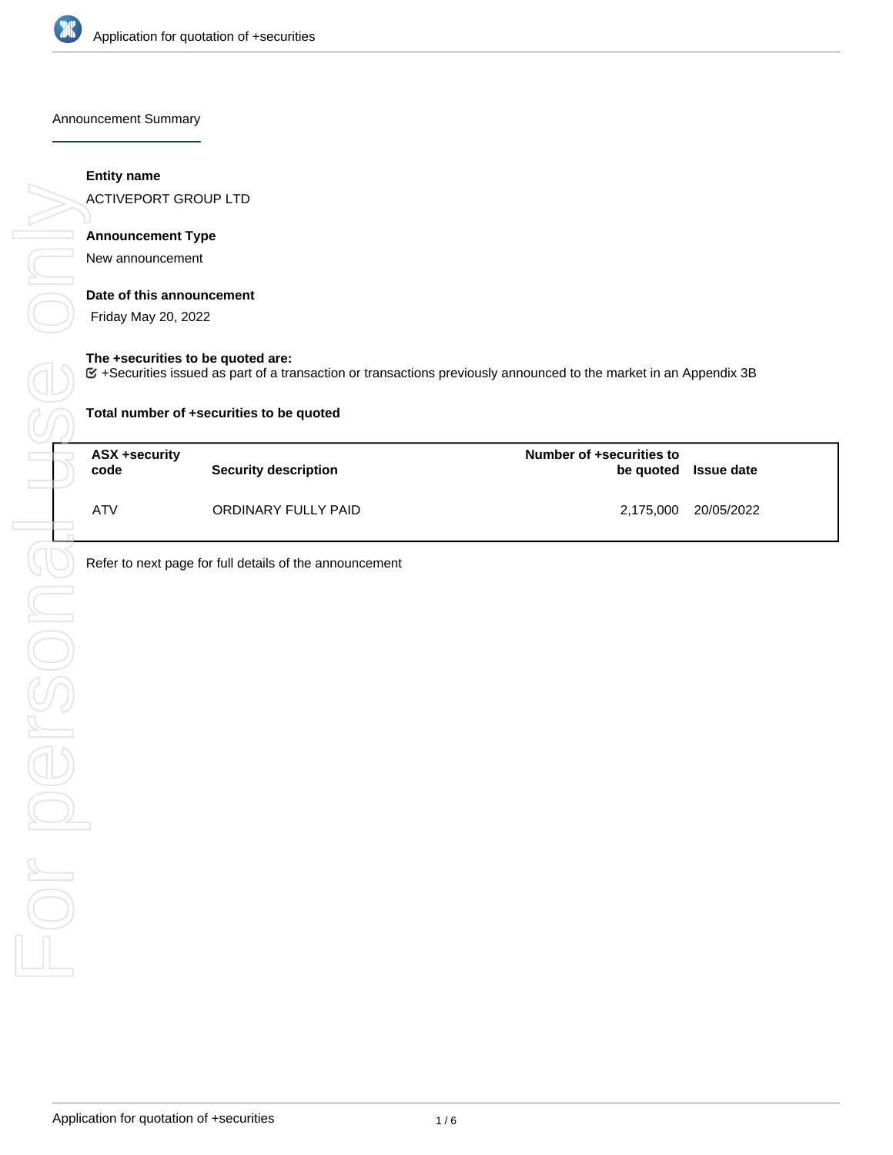

Announcement Summary

#### **Entity name**

ACTIVEPORT GROUP LTD

# **Announcement Type**

New announcement

## **Date of this announcement**

Friday May 20, 2022

#### **The +securities to be quoted are:**

+Securities issued as part of a transaction or transactions previously announced to the market in an Appendix 3B

| Total number of +securities to be quoted |                             |                          |                      |  |  |
|------------------------------------------|-----------------------------|--------------------------|----------------------|--|--|
| ASX +security<br>code                    | <b>Security description</b> | Number of +securities to | be quoted Issue date |  |  |
| <b>ATV</b>                               | ORDINARY FULLY PAID         |                          | 2,175,000 20/05/2022 |  |  |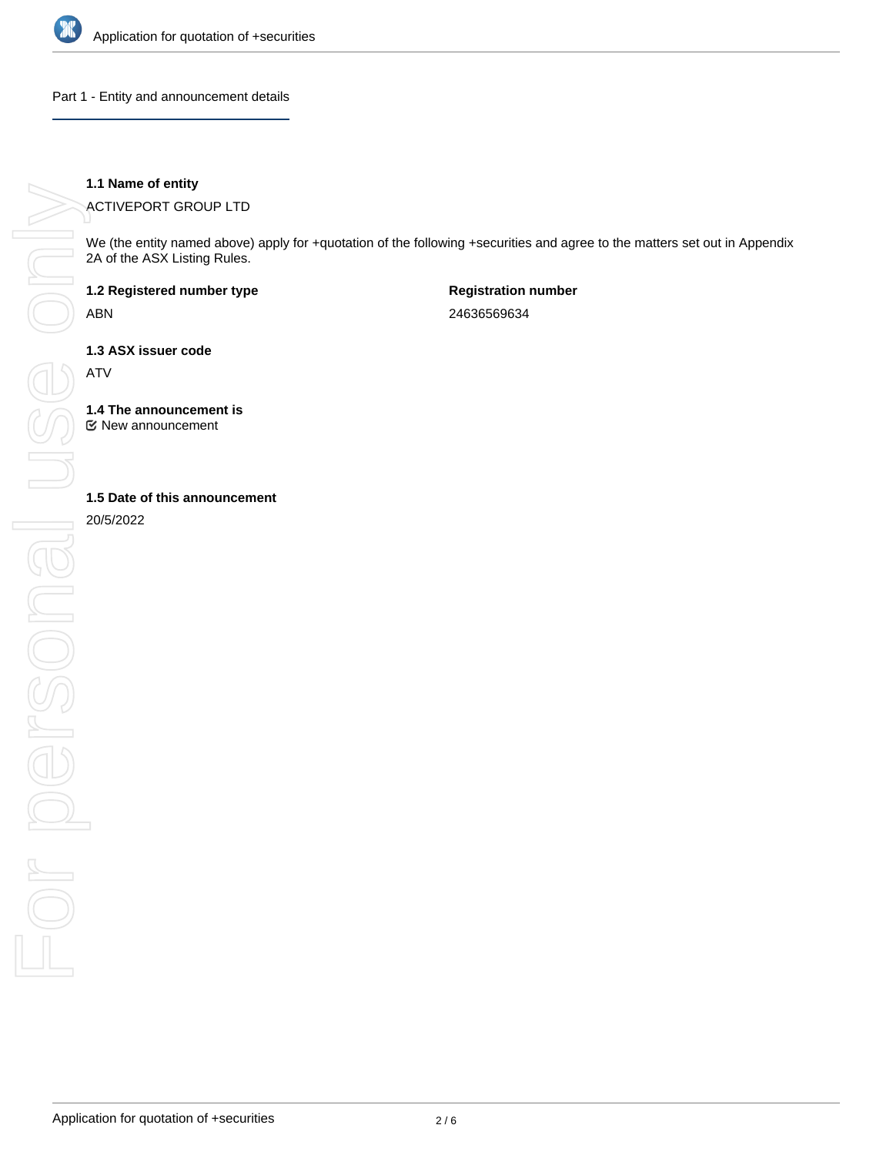

Part 1 - Entity and announcement details

**1.1 Name of entity**

ACTIVEPORT GROUP LTD

We (the entity named above) apply for +quotation of the following +securities and agree to the matters set out in Appendix 2A of the ASX Listing Rules.

**1.2 Registered number type**

ABN

**Registration number** 24636569634

**1.3 ASX issuer code**

ATV

**1.4 The announcement is**

New announcement

20/5/2022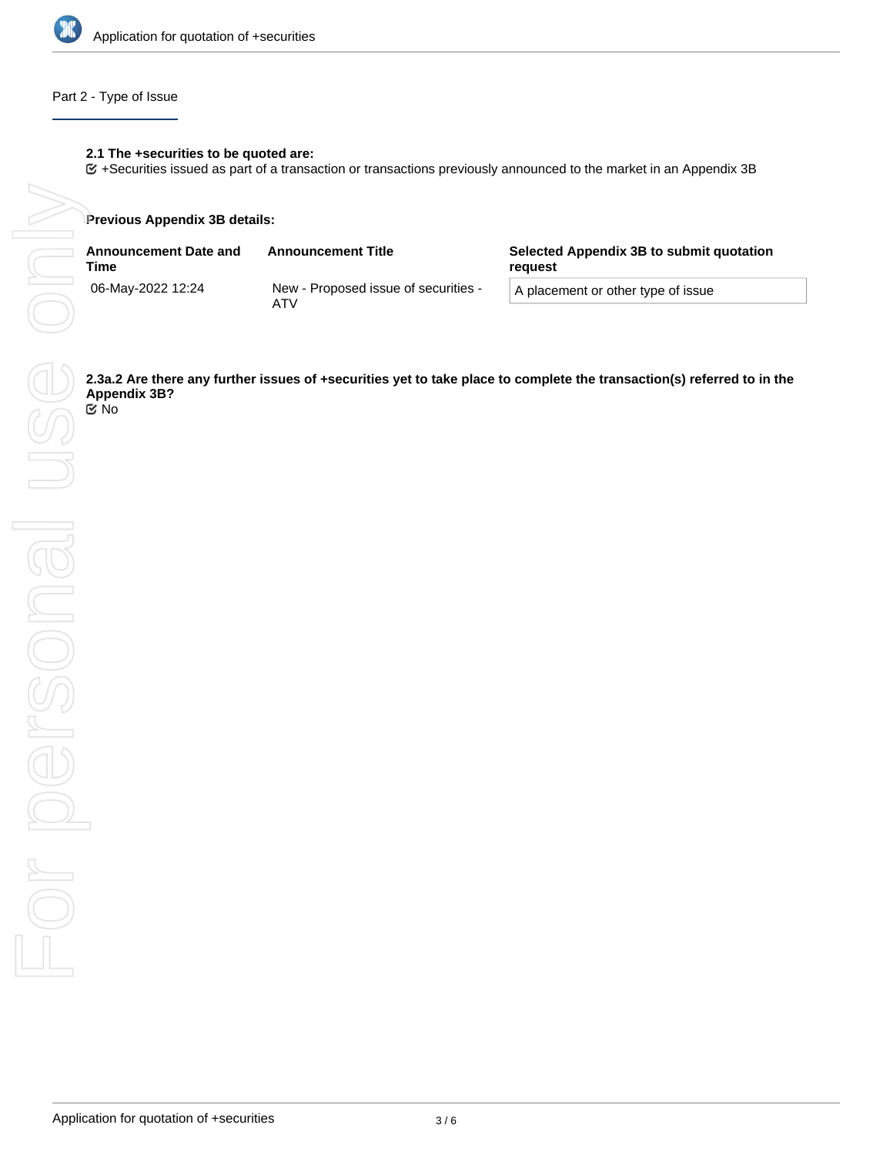

## Part 2 - Type of Issue

## **2.1 The +securities to be quoted are:**

+Securities issued as part of a transaction or transactions previously announced to the market in an Appendix 3B

#### **Previous Appendix 3B details:**

| <b>Announcement Date and</b><br>Time | <b>Announcement Title</b>                   | Selected Appendix 3B to submit quotation<br>reguest |  |
|--------------------------------------|---------------------------------------------|-----------------------------------------------------|--|
| 06-May-2022 12:24                    | New - Proposed issue of securities -<br>ATV | A placement or other type of issue                  |  |

**Appendix 3B?** No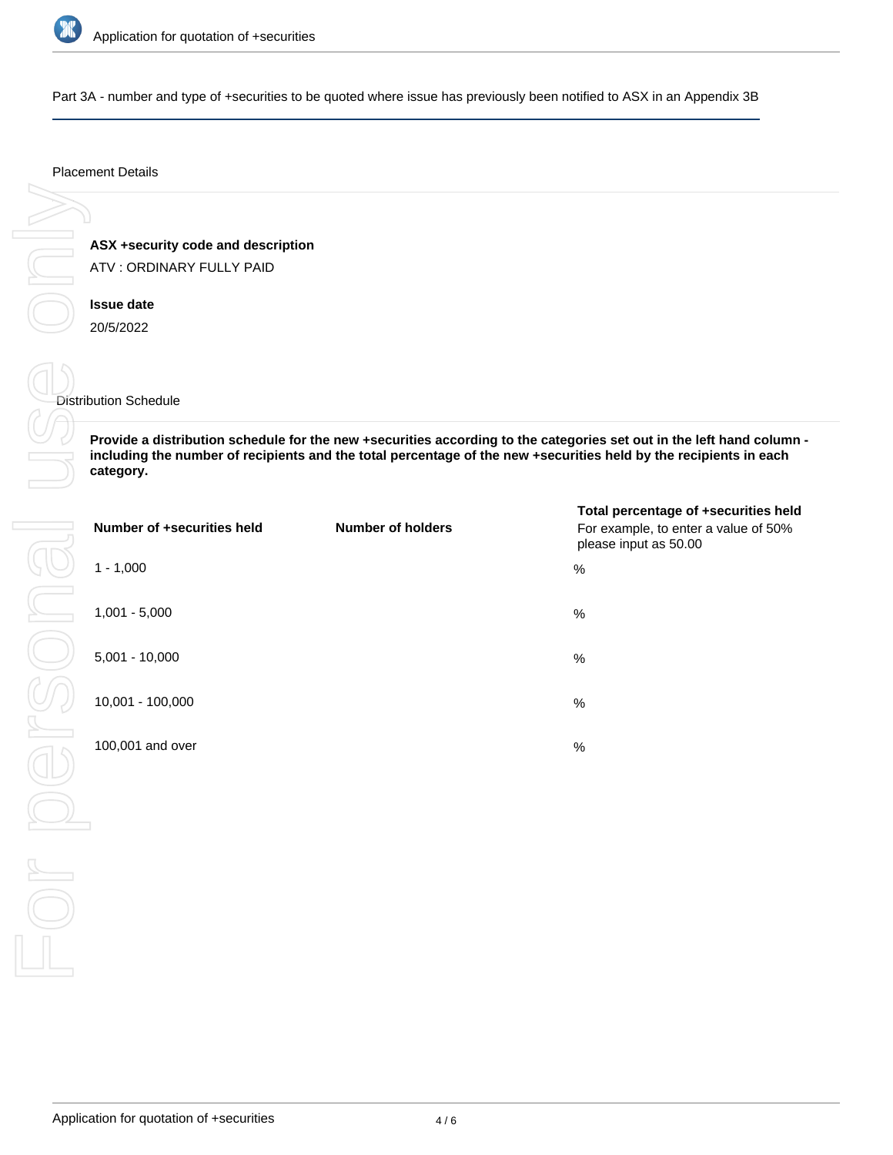

Part 3A - number and type of +securities to be quoted where issue has previously been notified to ASX in an Appendix 3B

#### Placement Details

**ASX +security code and description** ATV : ORDINARY FULLY PAID

**Issue date** 20/5/2022

#### Distribution Schedule

**Provide a distribution schedule for the new +securities according to the categories set out in the left hand column including the number of recipients and the total percentage of the new +securities held by the recipients in each category.**

| Number of +securities held | <b>Number of holders</b> | Total percentage of +securities held<br>For example, to enter a value of 50%<br>please input as 50.00 |
|----------------------------|--------------------------|-------------------------------------------------------------------------------------------------------|
| $1 - 1,000$                |                          | %                                                                                                     |
| $1,001 - 5,000$            |                          | %                                                                                                     |
| $5,001 - 10,000$           |                          | %                                                                                                     |
| 10,001 - 100,000           |                          | %                                                                                                     |
| 100,001 and over           |                          | %                                                                                                     |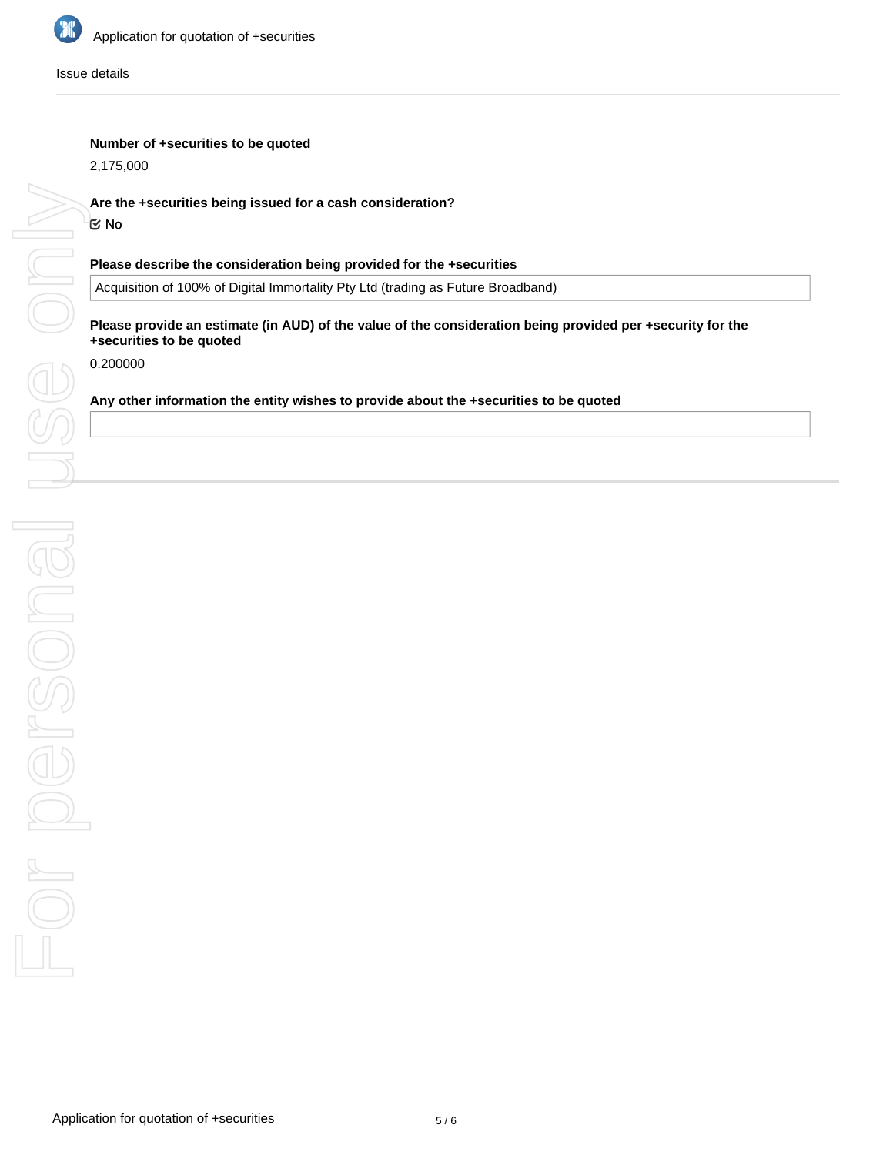

Issue details

### **Number of +securities to be quoted**

2,175,000

## **Are the +securities being issued for a cash consideration?**

No

## **Please describe the consideration being provided for the +securities**

Acquisition of 100% of Digital Immortality Pty Ltd (trading as Future Broadband)

### **Please provide an estimate (in AUD) of the value of the consideration being provided per +security for the +securities to be quoted**

0.200000

## **Any other information the entity wishes to provide about the +securities to be quoted**